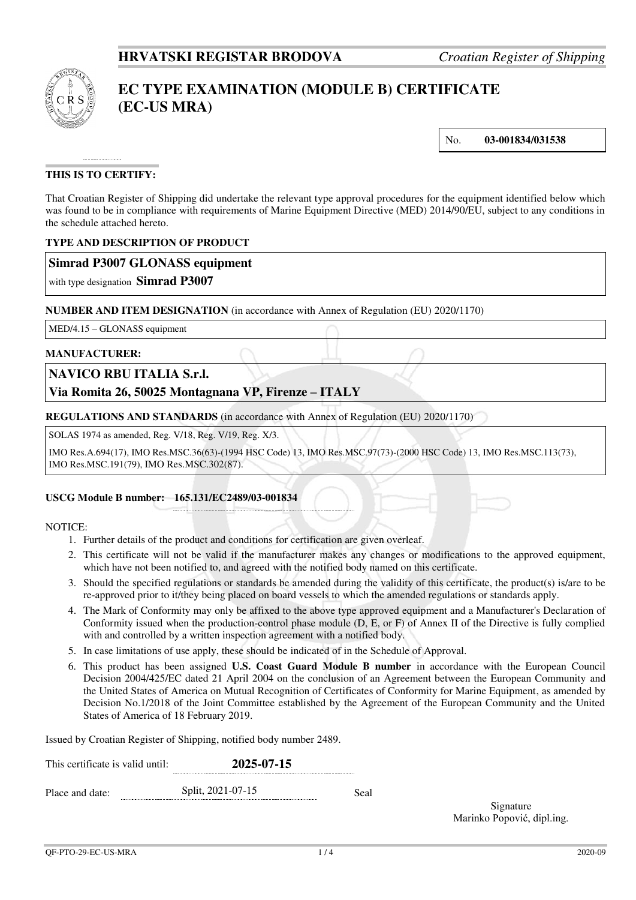

# **EC TYPE EXAMINATION (MODULE B) CERTIFICATE (EC-US MRA)**

No. **03-001834/031538**

## **THIS IS TO CERTIFY:**

That Croatian Register of Shipping did undertake the relevant type approval procedures for the equipment identified below which was found to be in compliance with requirements of Marine Equipment Directive (MED) 2014/90/EU, subject to any conditions in the schedule attached hereto.

## **TYPE AND DESCRIPTION OF PRODUCT**

## **Simrad P3007 GLONASS equipment**

with type designation **Simrad P3007**

#### **NUMBER AND ITEM DESIGNATION** (in accordance with Annex of Regulation (EU) 2020/1170)

MED/4.15 – GLONASS equipment

#### **MANUFACTURER:**

## **NAVICO RBU ITALIA S.r.l.**

## **Via Romita 26, 50025 Montagnana VP, Firenze – ITALY**

**REGULATIONS AND STANDARDS** (in accordance with Annex of Regulation (EU) 2020/1170)

SOLAS 1974 as amended, Reg. V/18, Reg. V/19, Reg. X/3.

IMO Res.A.694(17), IMO Res.MSC.36(63)-(1994 HSC Code) 13, IMO Res.MSC.97(73)-(2000 HSC Code) 13, IMO Res.MSC.113(73), IMO Res.MSC.191(79), IMO Res.MSC.302(87).

## **USCG Module B number: 165.131/EC2489/03-001834**

#### NOTICE:

- 1. Further details of the product and conditions for certification are given overleaf.
- 2. This certificate will not be valid if the manufacturer makes any changes or modifications to the approved equipment, which have not been notified to, and agreed with the notified body named on this certificate.
- 3. Should the specified regulations or standards be amended during the validity of this certificate, the product(s) is/are to be re-approved prior to it/they being placed on board vessels to which the amended regulations or standards apply.
- 4. The Mark of Conformity may only be affixed to the above type approved equipment and a Manufacturer's Declaration of Conformity issued when the production-control phase module (D, E, or F) of Annex II of the Directive is fully complied with and controlled by a written inspection agreement with a notified body.
- 5. In case limitations of use apply, these should be indicated of in the Schedule of Approval.
- 6. This product has been assigned **U.S. Coast Guard Module B number** in accordance with the European Council Decision 2004/425/EC dated 21 April 2004 on the conclusion of an Agreement between the European Community and the United States of America on Mutual Recognition of Certificates of Conformity for Marine Equipment, as amended by Decision No.1/2018 of the Joint Committee established by the Agreement of the European Community and the United States of America of 18 February 2019.

Issued by Croatian Register of Shipping, notified body number 2489.

| This certificate is valid until: |  | 2025-07-15        |      |  |
|----------------------------------|--|-------------------|------|--|
| Place and date:                  |  | Split, 2021-07-15 | Seal |  |

Signature Marinko Popović, dipl.ing.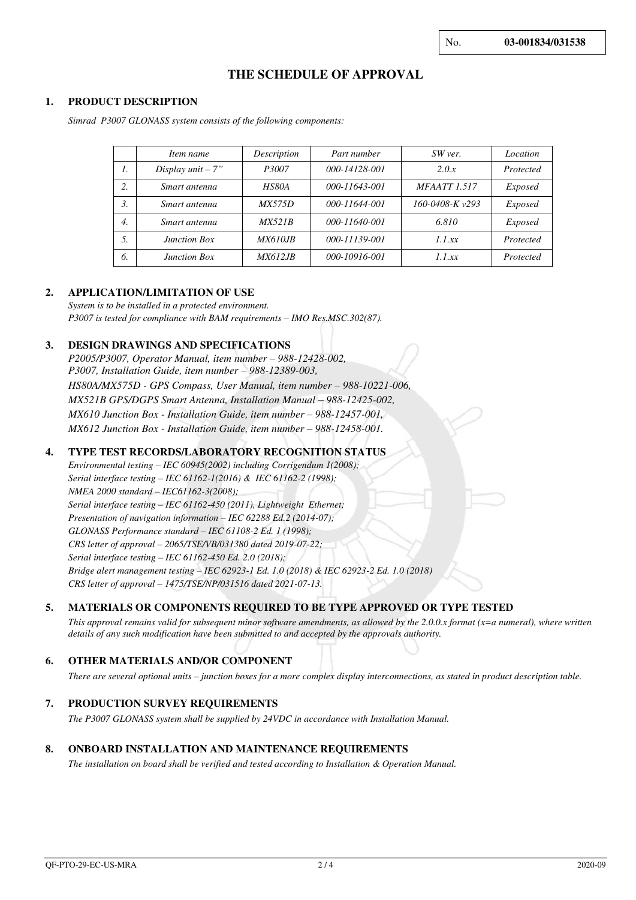## **THE SCHEDULE OF APPROVAL**

#### **1. PRODUCT DESCRIPTION**

*Simrad P3007 GLONASS system consists of the following components:* 

|                  | Item name           | Description     | Part number   | SW ver.              | Location       |
|------------------|---------------------|-----------------|---------------|----------------------|----------------|
| $\mathcal{I}$ .  | Display $unit - 7"$ | P3007           | 000-14128-001 | 2.0.x                | Protected      |
| 2.               | Smart antenna       | HS80A           | 000-11643-001 | <b>MFAATT 1.517</b>  | <i>Exposed</i> |
| 3.               | Smart antenna       | <i>MX575D</i>   | 000-11644-001 | $160 - 0408 - Kv293$ | Exposed        |
| $\overline{4}$ . | Smart antenna       | MX521B          | 000-11640-001 | 6.810                | <i>Exposed</i> |
| 5.               | Junction Box        | <i>MX610.IB</i> | 000-11139-001 | 1.1 xx               | Protected      |
| 6.               | <b>Junction Box</b> | <i>MX612.IB</i> | 000-10916-001 | 1.1 xx               | Protected      |

#### **2. APPLICATION/LIMITATION OF USE**

*System is to be installed in a protected environment. P3007 is tested for compliance with BAM requirements – IMO Res.MSC.302(87).*

## **3. DESIGN DRAWINGS AND SPECIFICATIONS**

*P2005/P3007, Operator Manual, item number – 988-12428-002, P3007, Installation Guide, item number – 988-12389-003, HS80A/MX575D - GPS Compass, User Manual, item number – 988-10221-006, MX521B GPS/DGPS Smart Antenna, Installation Manual – 988-12425-002, MX610 Junction Box - Installation Guide, item number – 988-12457-001, MX612 Junction Box - Installation Guide, item number – 988-12458-001.* 

## **4. TYPE TEST RECORDS/LABORATORY RECOGNITION STATUS**

*Environmental testing – IEC 60945(2002) including Corrigendum 1(2008); Serial interface testing – IEC 61162-1(2016) & IEC 61162-2 (1998); NMEA 2000 standard – IEC61162-3(2008); Serial interface testing – IEC 61162-450 (2011), Lightweight Ethernet; Presentation of navigation information – IEC 62288 Ed.2 (2014-07); GLONASS Performance standard – IEC 61108-2 Ed. 1 (1998); CRS letter of approval – 2065/TSE/VB/031380 dated 2019-07-22; Serial interface testing – IEC 61162-450 Ed. 2.0 (2018); Bridge alert management testing – IEC 62923-1 Ed. 1.0 (2018) & IEC 62923-2 Ed. 1.0 (2018) CRS letter of approval – 1475/TSE/NP/031516 dated 2021-07-13.*

## **5. MATERIALS OR COMPONENTS REQUIRED TO BE TYPE APPROVED OR TYPE TESTED**

*This approval remains valid for subsequent minor software amendments, as allowed by the 2.0.0.x format (x=a numeral), where written details of any such modification have been submitted to and accepted by the approvals authority.*

## **6. OTHER MATERIALS AND/OR COMPONENT**

*There are several optional units – junction boxes for a more complex display interconnections, as stated in product description table.*

#### **7. PRODUCTION SURVEY REQUIREMENTS**

*The P3007 GLONASS system shall be supplied by 24VDC in accordance with Installation Manual.* 

#### **8. ONBOARD INSTALLATION AND MAINTENANCE REQUIREMENTS**

*The installation on board shall be verified and tested according to Installation & Operation Manual.*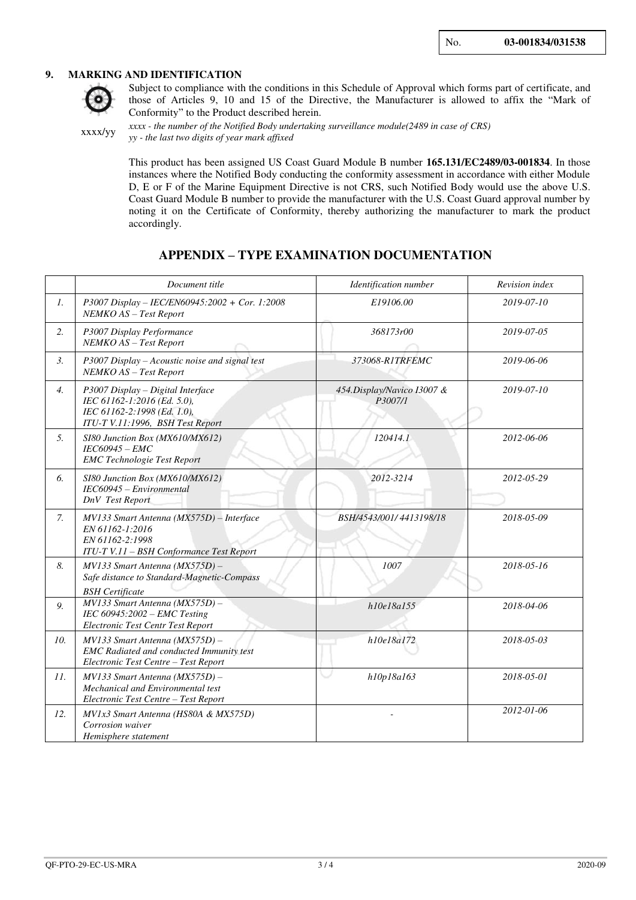#### **9. MARKING AND IDENTIFICATION**



Subject to compliance with the conditions in this Schedule of Approval which forms part of certificate, and those of Articles 9, 10 and 15 of the Directive, the Manufacturer is allowed to affix the "Mark of Conformity" to the Product described herein.

xxxx/yy

*xxxx - the number of the Notified Body undertaking surveillance module(2489 in case of CRS) yy - the last two digits of year mark affixed*

This product has been assigned US Coast Guard Module B number **165.131/EC2489/03-001834**. In those instances where the Notified Body conducting the conformity assessment in accordance with either Module D, E or F of the Marine Equipment Directive is not CRS, such Notified Body would use the above U.S. Coast Guard Module B number to provide the manufacturer with the U.S. Coast Guard approval number by noting it on the Certificate of Conformity, thereby authorizing the manufacturer to mark the product accordingly.

## **APPENDIX – TYPE EXAMINATION DOCUMENTATION**

|                  | Document title                                                                                                                      | Identification number                 | Revision index |
|------------------|-------------------------------------------------------------------------------------------------------------------------------------|---------------------------------------|----------------|
| $\mathcal{I}$ .  | P3007 Display - IEC/EN60945:2002 + Cor. 1:2008<br>NEMKO AS - Test Report                                                            | E19106.00                             | 2019-07-10     |
| 2.               | P3007 Display Performance<br>NEMKO AS - Test Report                                                                                 | 368173r00                             | 2019-07-05     |
| 3.               | P3007 Display - Acoustic noise and signal test<br>NEMKO AS - Test Report                                                            | 373068-R1TRFEMC                       | 2019-06-06     |
| $\overline{4}$ . | P3007 Display - Digital Interface<br>IEC 61162-1:2016 (Ed. 5.0),<br>IEC 61162-2:1998 (Ed. 1.0),<br>ITU-T V.11:1996, BSH Test Report | 454.Display/Navico I3007 &<br>P3007/1 | 2019-07-10     |
| 5.               | SI80 Junction Box (MX610/MX612)<br>IEC60945 - EMC<br><b>EMC</b> Technologie Test Report                                             | 120414.1                              | 2012-06-06     |
| 6.               | SI80 Junction Box (MX610/MX612)<br>IEC60945 - Environmental<br><b>DnV</b> Test Report                                               | 2012-3214                             | 2012-05-29     |
| 7.               | MV133 Smart Antenna (MX575D) - Interface<br>EN 61162-1:2016<br>EN 61162-2:1998<br>ITU-T V.11 - BSH Conformance Test Report          | BSH/4543/001/4413198/18               | 2018-05-09     |
| 8.               | MV133 Smart Antenna (MX575D) -<br>Safe distance to Standard-Magnetic-Compass<br><b>BSH</b> Certificate                              | 1007                                  | 2018-05-16     |
| 9.               | MV133 Smart Antenna (MX575D) -<br>IEC $60945:2002$ - EMC Testing<br>Electronic Test Centr Test Report                               | h10e18a155                            | 2018-04-06     |
| 10.              | $MV133$ Smart Antenna ( $MX575D$ ) -<br><b>EMC</b> Radiated and conducted Immunity test<br>Electronic Test Centre - Test Report     | h10e18a172                            | 2018-05-03     |
| 11.              | $MV133$ Smart Antenna ( $MX575D$ ) -<br>Mechanical and Environmental test<br>Electronic Test Centre - Test Report                   | h10p18a163                            | 2018-05-01     |
| 12.              | MV1x3 Smart Antenna (HS80A & MX575D)<br>Corrosion waiver<br>Hemisphere statement                                                    |                                       | 2012-01-06     |